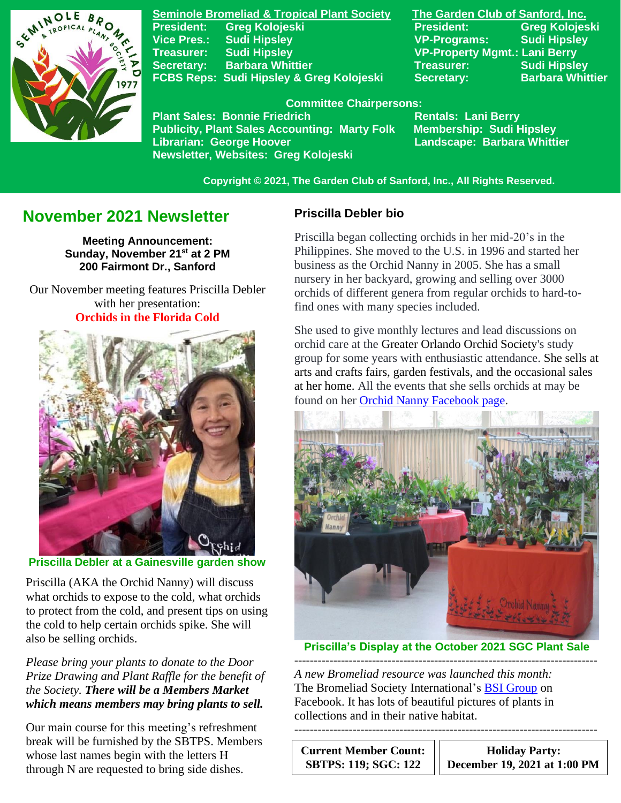

**Seminole Bromeliad & Tropical Plant Society The Garden Club of Sanford, Inc. Vice Pres.: Sudi Hipsley VP-Programs: Sudi Hipsley Treasurer: Sudi Hipsley VP-Property Mgmt.: Lani Berry Secretary:** Barbara Whittier **Network Charles Treasurer:** Sudi Hipsley **FCBS Reps: Sudi Hipsley & Greg Kolojeski Secretary: Barbara Whittier** 

**President: Greg Kolojeski President: Greg Kolojeski** 

 **Committee Chairpersons:**

Plant Sales: Bonnie Friedrich **Rentals: Lani Berry<br>Publicity, Plant Sales Accounting: Marty Folk Membership: Sudi Hipsley Publicity, Plant Sales Accounting: Marty Folk Librarian: George Hoover Landscape: Barbara Whittier Newsletter, Websites: Greg Kolojeski**

 **Copyright © 2021, The Garden Club of Sanford, Inc., All Rights Reserved.**

# **November 2021 Newsletter**

**Meeting Announcement: Sunday, November 21 st at 2 PM 200 Fairmont Dr., Sanford**

 Our November meeting features Priscilla Debler with her presentation: **Orchids in the Florida Cold**



**Priscilla Debler at a Gainesville garden show**

Priscilla (AKA the Orchid Nanny) will discuss what orchids to expose to the cold, what orchids to protect from the cold, and present tips on using the cold to help certain orchids spike. She will also be selling orchids.

*Please bring your plants to donate to the Door Prize Drawing and Plant Raffle for the benefit of the Society. There will be a Members Market which means members may bring plants to sell.*

Our main course for this meeting's refreshment break will be furnished by the SBTPS. Members whose last names begin with the letters H through N are requested to bring side dishes.

## **Priscilla Debler bio**

Priscilla began collecting orchids in her mid-20's in the Philippines. She moved to the U.S. in 1996 and started her business as the Orchid Nanny in 2005. She has a small nursery in her backyard, growing and selling over 3000 orchids of different genera from regular orchids to hard-tofind ones with many species included.

She used to give monthly lectures and lead discussions on orchid care at the Greater Orlando Orchid Society's study group for some years with enthusiastic attendance. She sells at arts and crafts fairs, garden festivals, and the occasional sales at her home. All the events that she sells orchids at may be found on her [Orchid Nanny Facebook page.](https://www.facebook.com/orchidnanny/)



**Priscilla's Display at the October 2021 SGC Plant Sale**

------------------------------------------------------------------------------

------------------------------------------------------------------------------ *A new Bromeliad resource was launched this month:* The Bromeliad Society International's [BSI Group](https://www.facebook.com/groups/bromeliadsgroup) on Facebook. It has lots of beautiful pictures of plants in collections and in their native habitat.

**Current Member Count: SBTPS: 119; SGC: 122**

**Holiday Party: December 19, 2021 at 1:00 PM**